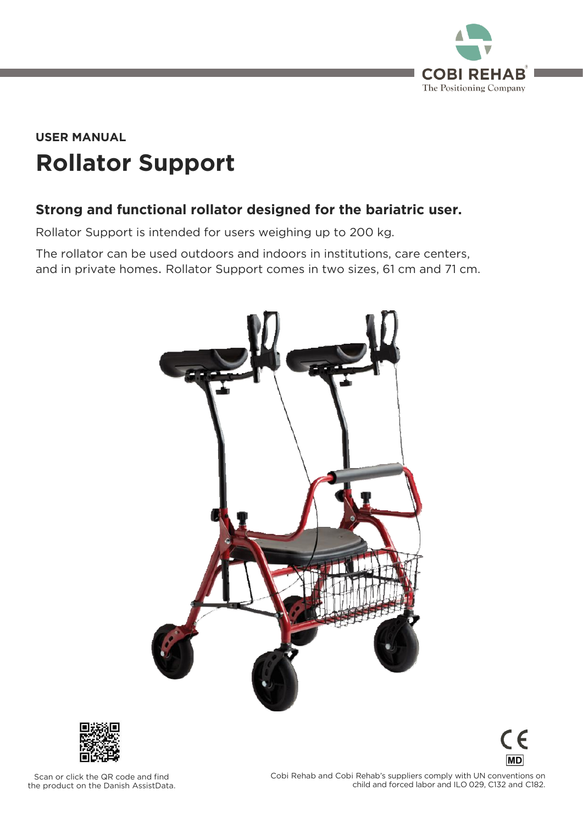

## **Rollator Support USER MANUAL**

### **Strong and functional rollator designed for the bariatric user.**

Rollator Support is intended for users weighing up to 200 kg.

and in private beings. Dellator Cuppert comes in two sizes, 61 cm and 71 cm and in private homes. Rollator Support comes in two sizes, 61 cm and 71 cm.





 $\epsilon$ **MD** 

Scan or click the QR code and find<br>the product on the Danish AssistData. the product on the Danish AssistData.

 $\frac{1}{2}$  child and forced labor and II 0.029 C132 and C182 child and forced labor and ILO 029, C132 and C132 and C132 and C132 and C182.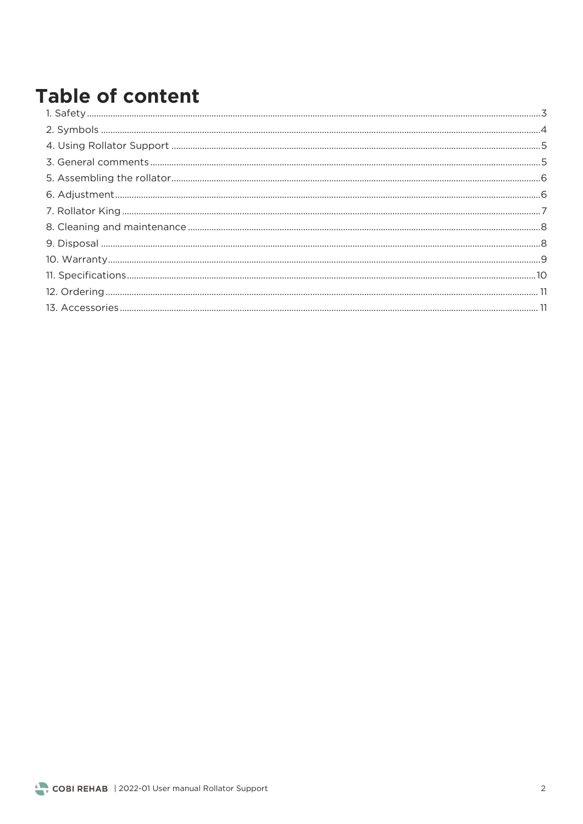## **Table of content**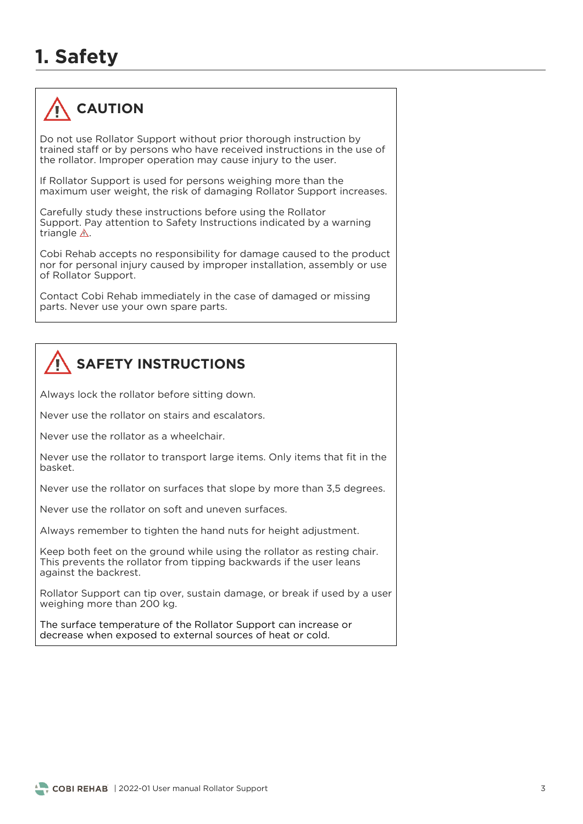## **1. Safety**



Do not use Rollator Support without prior thorough instruction by trained staff or by persons who have received instructions in the use of the rollator. Improper operation may cause injury to the user. the rollator. Improper operation may cause injury to the user.

If Rollator Support is used for persons weighing more than the maximum user weight, the risk of damaging Rollator Support increases. maximum user weight, the risk of damaging Rollator Support increases.

Carefully study these instructions before using the Rollator<br>Support. Pay attention to Safety Instructions indicated by a warning triangle  $\triangle$ triangle .

Cobi Rehab accepts no responsibility for damage caused to the product nor for personal injury caused by improper installation, assembly or use of Rollator Support. of Rollator Support.

Contact Cobi Rehab immediately in the case of damaged or missing parts. Never use your own spare parts.

## **SAFETY INSTRUCTIONS**

Always lock the rollator before sitting down.

Never use the rollator on stairs and escalators.

Never use the rollator as a wheelchair.

hasket.

Never use the rollator on surfaces that slope by more than 3,5 degrees.

Never use the rollator on soft and uneven surfaces.

Always remember to tighten the hand nuts for height adjustment.

Keep both feet on the ground while using the rollator as resting chair.<br>This prevents the rollator from tipping backwards if the user leans against the backrest. against the backrest.

rollator Support can tip over, sustain damage, or break if used by a user<br>weighing more than 200 kg. weight more than 200 kg.

The surface temperature of the Rollator Support can increase or decrease when exposed to external sources of heat or cold. decrease when exposed to external sources of heat or cold.

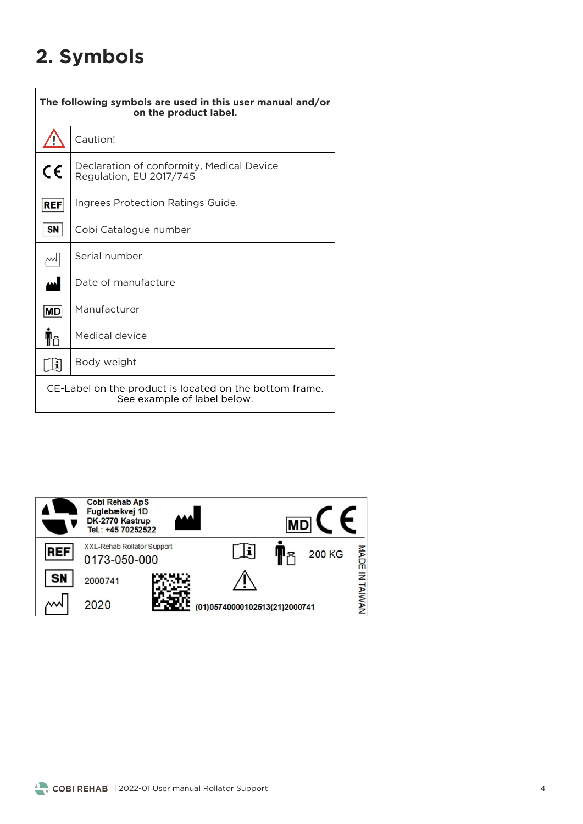## **2. Symbols**

| The following symbols are used in this user manual and/or<br>on the product label.     |                                                                      |  |  |  |
|----------------------------------------------------------------------------------------|----------------------------------------------------------------------|--|--|--|
|                                                                                        | Caution!                                                             |  |  |  |
| CE                                                                                     | Declaration of conformity, Medical Device<br>Regulation, EU 2017/745 |  |  |  |
| REF                                                                                    | Ingrees Protection Ratings Guide.                                    |  |  |  |
| <b>SN</b>                                                                              | Cobi Catalogue number                                                |  |  |  |
| w                                                                                      | Serial number                                                        |  |  |  |
| لمم                                                                                    | Date of manufacture                                                  |  |  |  |
| $ \mathsf{MD} $                                                                        | Manufacturer                                                         |  |  |  |
| ¶ا∱                                                                                    | Medical device                                                       |  |  |  |
|                                                                                        | Body weight                                                          |  |  |  |
| CE-Label on the product is located on the bottom frame.<br>See example of label below. |                                                                      |  |  |  |

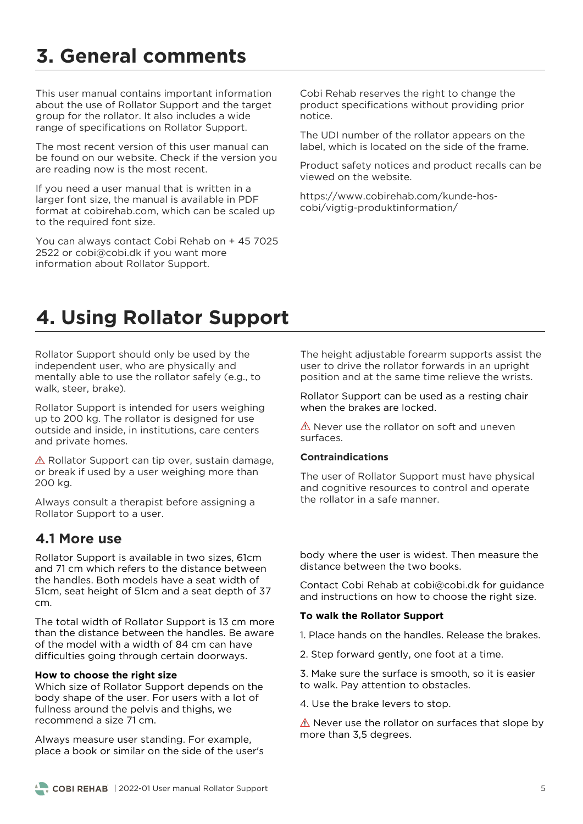## **3. General comments**

This user manual contains important information about the use of Rollator Support and the target aroup for the rollator. It also includes a wide group<br>range of specifications on Rollator Support range of specifications on Rollator Support.

The most recent version of this user manual can<br>be found on our website. Check if the version you are reading now is the most recent. are reading now is the most recent.

If you need a user manual that is written in a<br>larger font size, the manual is available in PDF format at cobirehab.com, which can be scaled up to the required font size. to the required font size.

You can always contact Cobi Rehab on + 45 7025<br>2522 or cobi@cobi.dk if you want more  $\frac{1}{2}$  information about Rollator Support information about Rollator Support.

Cobi Rehab reserves the right to change the<br>product specifications without providing prior notice

The UDI number of the rollator appears on the label, which is located on the side of the frame. label, which is located on the side of the frame.

Product safety notices and product recalls can be viewed on the website.

https://<br>https://www.com/kundermation/  $\sum_{i=1}^{n}$ 

### **4. Using Rollator Support**

Rollator Support should only be used by the independent user, who are physically and mentally able to use the rollator safely (e.g., to walk steer brake)  $\frac{1}{2}$ , steer, brake, brake, brake, brake, brake, brake, brake, brake, brake, brake, brake, brake, brake, brake, brake, brake, brake, brake, brake, brake, brake, brake, brake, brake, brake, brake, brake, brake, brake,

Rollator Support is intended for users weighing<br>up to 200 kg. The rollator is designed for use outside and inside, in institutions, care centers and private homes. and private homes.

 $\triangle$  Rollator Support can tip over, sustain damage, or break if used by a user weighing more than 200 kg. 200 kg.

Always consult a therapist before assigning a Rollator Support to a user. Rollator Support to a user.

### **4.1 More use**

Rollator Support is available in two sizes, 61cm the handles. Both models have a seat width of the handles is a model in the continuation of the handles.  $\frac{1}{2}$ cm.

The total width of Rollator Support is 13 cm more than the distance between the handles. Be aware of the model with a width of 84 cm can have difficulties going through certain doorways difficulties going through certain doorways.

#### **How to choose the right size**

Which size of Rollator Support depends on the body shape of the user. For users with a lot of fullness around the pelvis and thighs, we recommend a size 71 cm. recommend a size 71 cm.

place a book or similar on the side of the user's

The height adjustable forearm supports assist the user to drive the rollator forwards in an upright position and at the same time relieve the wrists. position and at the same time relieve the wrists.

### Rollator Support can be used as a resting chair<br>when the brakes are locked. when the brakes are locked.

surfaces.

#### **Contraindications**

The user of Rollator Support must have physical<br>and cognitive resources to control and operate the rollator in a safe manner.

body where the user is widest. Then measure the distance between the two books. distance between the two books.

Contact Cobi Rehab at cobi@cobi.dk for guidance and instructions on how to choose the right size. and instructions on how to choose the right size.

#### **To walk the Rollator Support**

1. Place hands on the handles. Release the brakes.

2. Step forward gently, one foot at a time.

3. Make sure the surface is smooth, so it is easier to walk. Pay attention to obstacles.

4. Use the brake levers to stop. 4. Use the brake levers to stop.

never assume remaist on surfaces that slope by  $\frac{1}{2}$ 

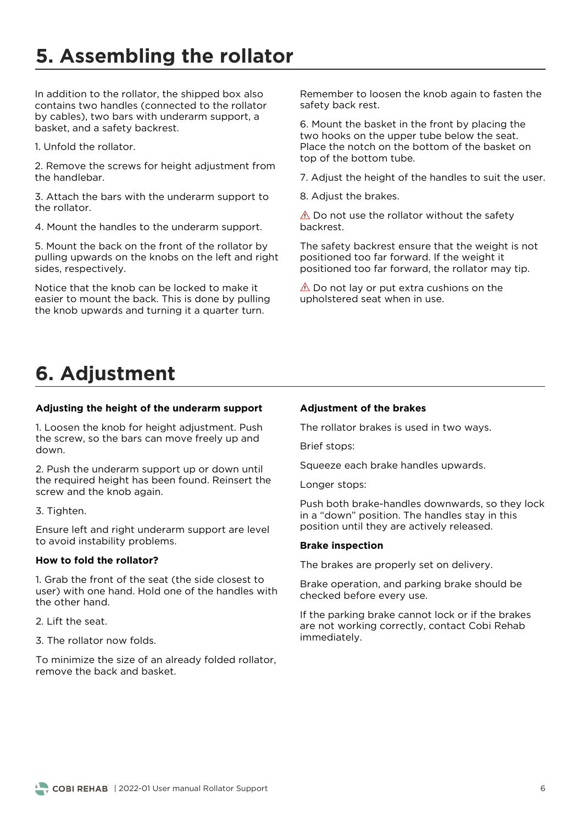## **5. Assembling the rollator**

In addition to the rollator, the shipped box also contains two handles (connected to the rollator by cables), two bars with underarm support, a basket, and a safety backrest. based, and a safety backrest.

1. Unfold the rollator. 1. Unfold the rollator.

2. Remove the screws for height adjustment from<br>the handlebar.

3. Attach the bars with the underarm support to the rollator.

4. Mount the handles to the underarm support.

5. Mount the back on the front of the rollator by pulling upwards on the knobs on the left and right sides, respectively. sides, respectively.

Notice that the knob can be locked to make it easier to mount the back. This is done by pulling the knob upwards and turning it a quarter turn. the knob upwards and turning it a quarter turn.

Remember to loosen the knob again to fasten the safety back rest. safety back rest.

6. Mount the basket in the front by placing the Place the notch on the bottom of the basket on top of the bottom tube. top of the bottom tube.

7. Adjust the height of the handles to suit the user.

8. Adjust the brakes.

 $\triangle$  Do not use the rollator without the safety backrest.

The safety backrest ensure that the weight is not positioned too far forward. If the weight it positioned too far forward, the rollator may tip. positioned too far forward, the rollator may tip.

 $\triangle$  Do not lay or put extra cushions on the upholstered seat when in use. upholstered seat when in use.

## **6. Adjustment**

#### **Adjusting the height of the underarm support**

the screw so the hars can move freely un and the screw, so the bars can move freely up and down.

2. Push the underarm support up or down until screw and the knob again. screw and the knob again.

### 3. Tighten.

Ensure left and right underarm support are level to avoid instability problems.

#### **How to fold the rollator?**

1. Grab the front of the seat (the side closest to the other hand. the other hand.

2. Lift the seat.

3 The rollator now folds 3. The rollator now folds.

To minimize the size of an already folded rollator,<br>remove the back and basket remove the back and basket.

#### **Adjustment of the brakes**

The rollator brakes is used in two ways.

Brief stops: Brief stops:

Squeeze each brake handles upwards.

Longer stops:

Push both brake-handles downwards, so they lock<br>in a "down" position. The handles stay in this in a "down" position. The handles stay in this position until they are actively released.

#### **Brake inspection**

The brakes are properly set on delivery.

Brake operation, and parking brake should be checked before every use.

If the parking brake cannot lock or if the brakes are not working correctly, contact Cobi Rehab immediately. immediately.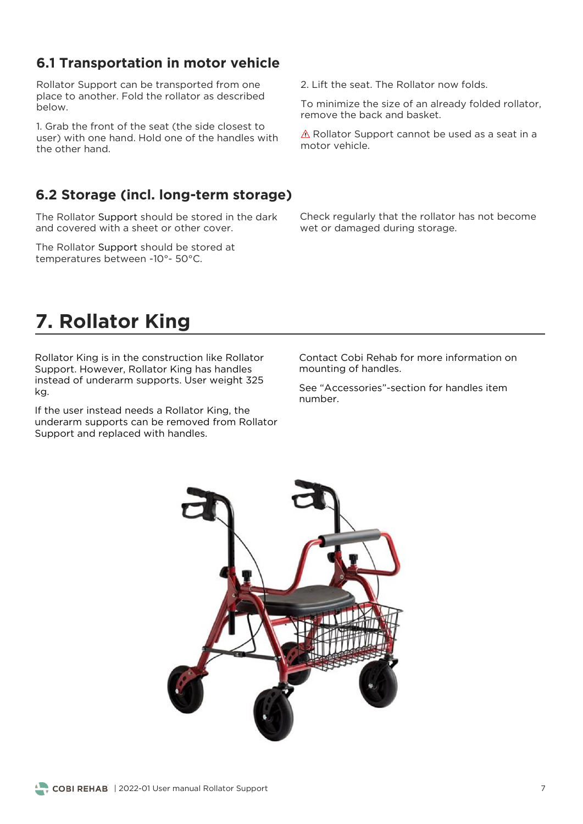### **6.1 Transportation in motor vehicle**

Rollator Support can be transported from one<br>place to another. Fold the rollator as described below.

user) with one hand. Hold one of the handles with the other hand.

### **6.2 Storage (incl. long-term storage)**

The Rollator Support should be stored in the dark<br>and covered with a sheet or other cover.

The Rollator Support should be stored at temperatures between -10°- 50°C. temperatures between -10°- 50°C.

2. Lift the seat. The Rollator now folds.

remove the back and basket.

 $\triangle$  Rollator Support cannot be used as a seat in a motor vehicle.

Wet or damaged during storage we dan aged during storage.

### **7. Rollator King**

Rollator King is in the construction like Rollator<br>Support. However, Rollator King has handles  $S$  instead of underarm supports. User weight 32 instead of understanding supports. User weight 325 September 2255 September 2255 September 2255 September 2255  $\ddot{\phantom{a}}$ 

If the user instead needs a Rollator King, the<br>underarm supports can be removed from Rollator underarm supports can be removed from Romansis. Support and replaced with handles.

Contact Cobi Rehab for more information on mounting of handles.

See "Accessories"-section for handles item

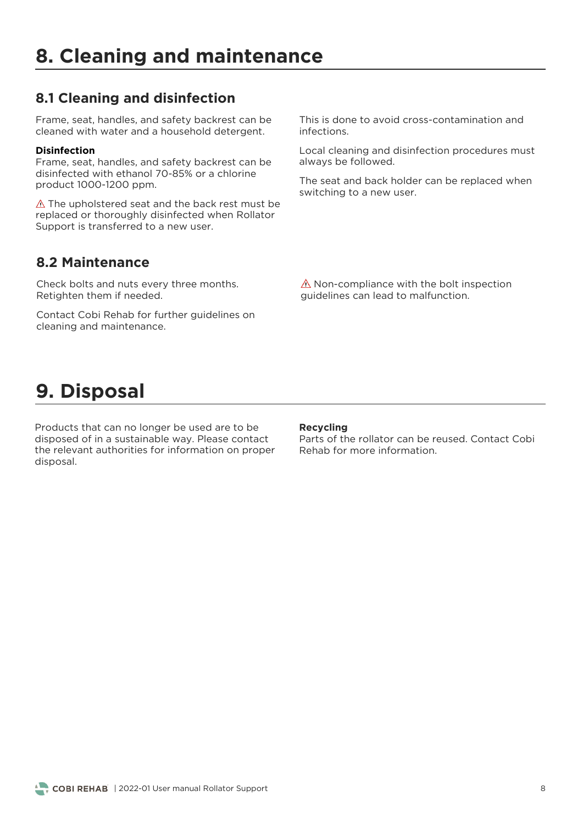### **8.1 Cleaning and disinfection**

Frame, seat, handles, and safety backrest can be cleaned with water and a household detergent. cleaned with water and a household detergent.

#### **Disinfection**

Frame, seat, handles, and safety backrest can be disinfected with ethanol 70-85% or a chlorine product 1000-1200 ppm. product 1000-1200 ppm.

 $\triangle$  The upholstered seat and the back rest must be replaced or thoroughly disinfected when Rollator replaced of the eaglig disinfected when Rollands. Support is transferred to a new user.

This is done to avoid cross-contamination and infections.

Local cleaning and disinfection procedures must<br>always be followed. always be followed.

switching to a new user switching to a new user.

### **8.2 Maintenance**

Retighten them if needed Retighten them if needed.

cleaning and maintenance cleaning and maintenance.

 $\frac{1}{100}$ guidelines can lead to malfunction.

## **9. Disposal**

Products that can no longer be used are to be disposed of in a sustainable way. Please contact the relevant authorities for information on proper disposal. disposal.

#### **Recycling**

Parts of the rollator can be reused. Contact Cobi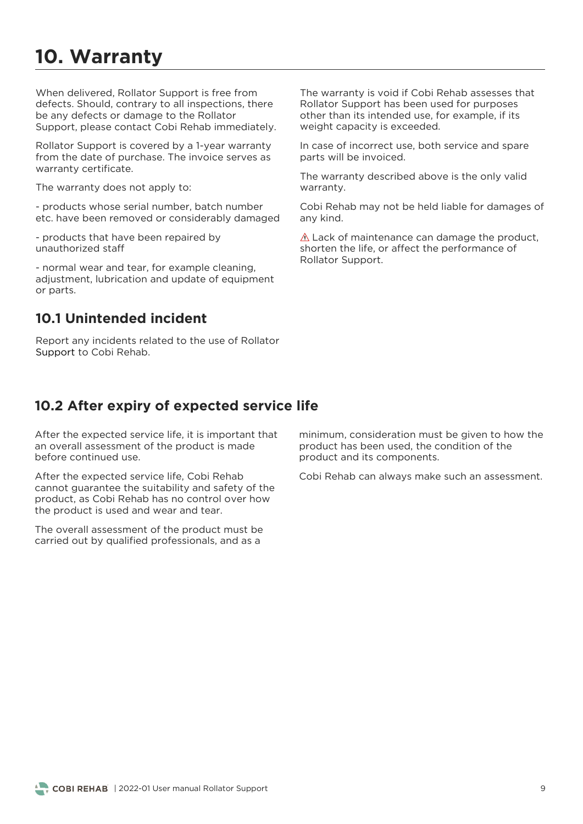## **10. Warranty**

When delivered, Rollator Support is free from<br>defects. Should. contrary to all inspections, there be any defects or damage to the Rollator support please contact Cobi Rebab imme Support, please contact Cobi Rehab immediately.

Rollator Support is covered by a 1-year warranty from the date of purchase. The invoice serves as warranty certificate. warranty certificate.

The warranty does not apply to:

etc have been removed or considerably damage etc. have been removed or considerably damaged

- products that have been repaired by<br>unauthorized staff

- normal wear and tear, for example cleaning,<br>adjustment, lubrication and update of equipment or parts. or parts.

### **10.1 Unintended incident**

Report any incidents related to the use of Rollator Support to Cobi Rehab. Support to Cobi Rehab.

The warranty is void if Cobi Rehab assesses that<br>Rollator Support has been used for purposes other than its intended use, for example, if its weight capacity is exceeded.  $\ldots$  give capacity is exceeded.

In case of incorrect use, both service and spare parts will be invoiced. parts will be invoiced.

The warranty described above is the only valid warranty. warranty.

Cobi Rehab may not be held liable for damages of any kind.

 $\triangle$  Lack of maintenance can damage the product, shorten the life, or affect the performance of Rollator Support. Rollator Support.

### **10.2 After expiry of expected service life**

After the expected service life, it is important that an overall assessment of the product is made before continued use

After the expected service life, Cobi Rehab<br>cannot quarantee the suitability and safety of the product, as Cobi Rehab has no control over how the product is used and wear and tear. the product is used and wear and tear.

The overall assessment of the product must be carried out by qualified professionals, and as a carried out by qualified professionals, and as a

minimum, consideration must be given to how the product has been used, the condition of the product and its components. product and its components.

Cobi Rehab can always make such an assessment.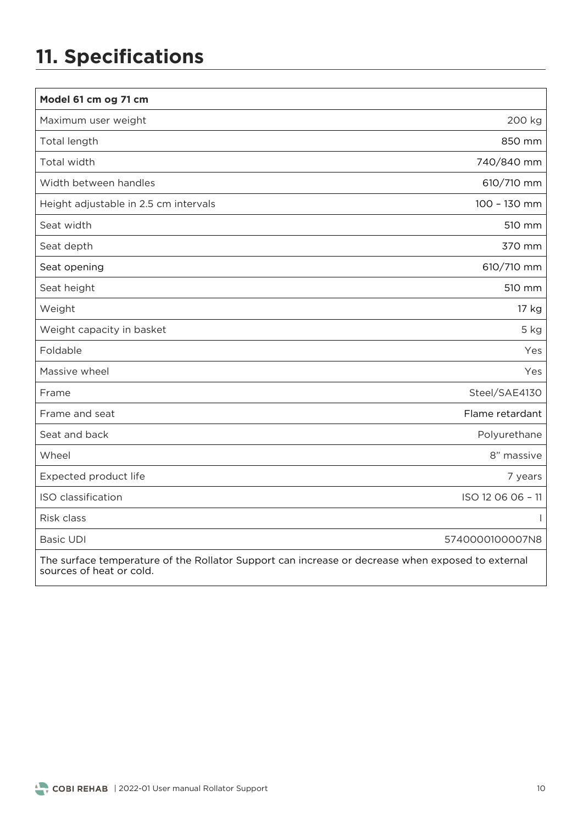# **11. Specifications**

| Model 61 cm og 71 cm                                                                                                          |                   |
|-------------------------------------------------------------------------------------------------------------------------------|-------------------|
| Maximum user weight                                                                                                           | 200 kg            |
| Total length                                                                                                                  | 850 mm            |
| Total width                                                                                                                   | 740/840 mm        |
| Width between handles                                                                                                         | 610/710 mm        |
| Height adjustable in 2.5 cm intervals                                                                                         | 100 - 130 mm      |
| Seat width                                                                                                                    | 510 mm            |
| Seat depth                                                                                                                    | 370 mm            |
| Seat opening                                                                                                                  | 610/710 mm        |
| Seat height                                                                                                                   | 510 mm            |
| Weight                                                                                                                        | 17 kg             |
| Weight capacity in basket                                                                                                     | 5 kg              |
| Foldable                                                                                                                      | Yes               |
| Massive wheel                                                                                                                 | Yes               |
| Frame                                                                                                                         | Steel/SAE4130     |
| Frame and seat                                                                                                                | Flame retardant   |
| Seat and back                                                                                                                 | Polyurethane      |
| Wheel                                                                                                                         | 8" massive        |
| Expected product life                                                                                                         | 7 years           |
| ISO classification                                                                                                            | ISO 12 06 06 - 11 |
| Risk class                                                                                                                    |                   |
| <b>Basic UDI</b>                                                                                                              | 5740000100007N8   |
| The surface temperature of the Rollator Support can increase or decrease when exposed to external<br>sources of heat or cold. |                   |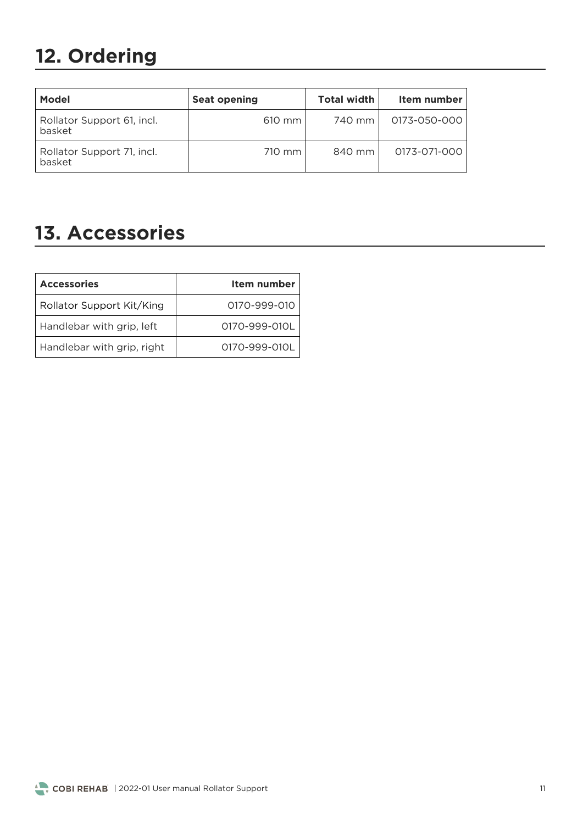# **12. Ordering**

| <b>Model</b>                         | <b>Seat opening</b> | <b>Total width</b> | Item number  |
|--------------------------------------|---------------------|--------------------|--------------|
| Rollator Support 61, incl.<br>basket | 610 mm              | 740 mm l           | 0173-050-000 |
| Rollator Support 71, incl.<br>basket | 710 mm              | 840 mm             | 0173-071-000 |

### **13. Accessories**

| Item number   |  |
|---------------|--|
| 0170-999-010  |  |
| 0170-999-010L |  |
| 0170-999-010L |  |
|               |  |